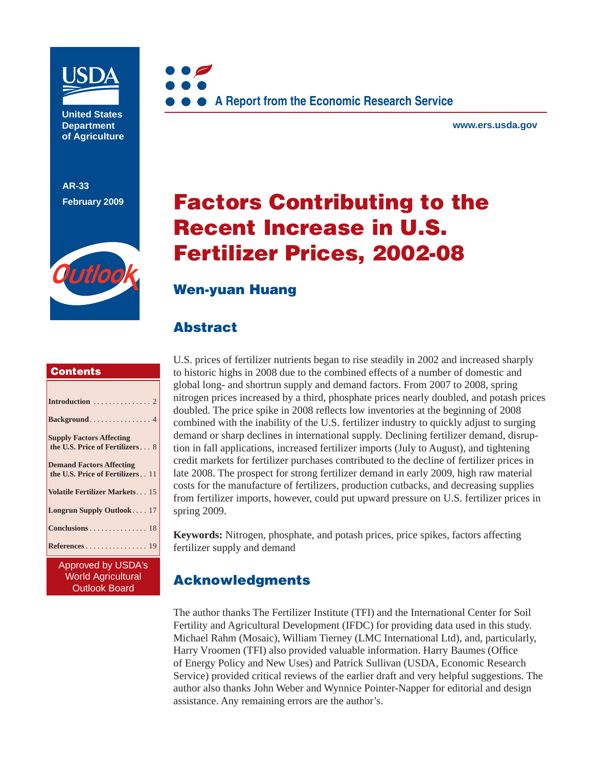

**United States Department of Agriculture** 

**AR-33 February 2009**





**www.ers.usda.gov** 

# **Factors Contributing to the Recent Increase in U.S. Fertilizer Prices, 2002-08**

## **Wen-yuan Huang**

# **Abstract**

### **Contents**

| <b>Supply Factors Affecting</b><br>the U.S. Price of Fertilizers 8     |
|------------------------------------------------------------------------|
| <b>Demand Factors Affecting</b><br>the U.S. Price of Fertilizers. . 11 |
| Volatile Fertilizer Markets 15                                         |
| Longrun Supply Outlook 17                                              |
| Conclusions 18                                                         |
| References 19                                                          |

Approved by USDA's World Agricultural Outlook Board

U.S. prices of fertilizer nutrients began to rise steadily in 2002 and increased sharply to historic highs in 2008 due to the combined effects of a number of domestic and global long- and shortrun supply and demand factors. From 2007 to 2008, spring nitrogen prices increased by a third, phosphate prices nearly doubled, and potash prices doubled. The price spike in 2008 reflects low inventories at the beginning of 2008 combined with the inability of the U.S. fertilizer industry to quickly adjust to surging demand or sharp declines in international supply. Declining fertilizer demand, disruption in fall applications, increased fertilizer imports (July to August), and tightening credit markets for fertilizer purchases contributed to the decline of fertilizer prices in late 2008. The prospect for strong fertilizer demand in early 2009, high raw material costs for the manufacture of fertilizers, production cutbacks, and decreasing supplies from fertilizer imports, however, could put upward pressure on U.S. fertilizer prices in spring 2009.

**Keywords:** Nitrogen, phosphate, and potash prices, price spikes, factors affecting fertilizer supply and demand

# **Acknowledgments**

The author thanks The Fertilizer Institute (TFI) and the International Center for Soil Fertility and Agricultural Development (IFDC) for providing data used in this study. Michael Rahm (Mosaic), William Tierney (LMC International Ltd), and, particularly, Harry Vroomen (TFI) also provided valuable information. Harry Baumes (Office of Energy Policy and New Uses) and Patrick Sullivan (USDA, Economic Research Service) provided critical reviews of the earlier draft and very helpful suggestions. The author also thanks John Weber and Wynnice Pointer-Napper for editorial and design assistance. Any remaining errors are the author's.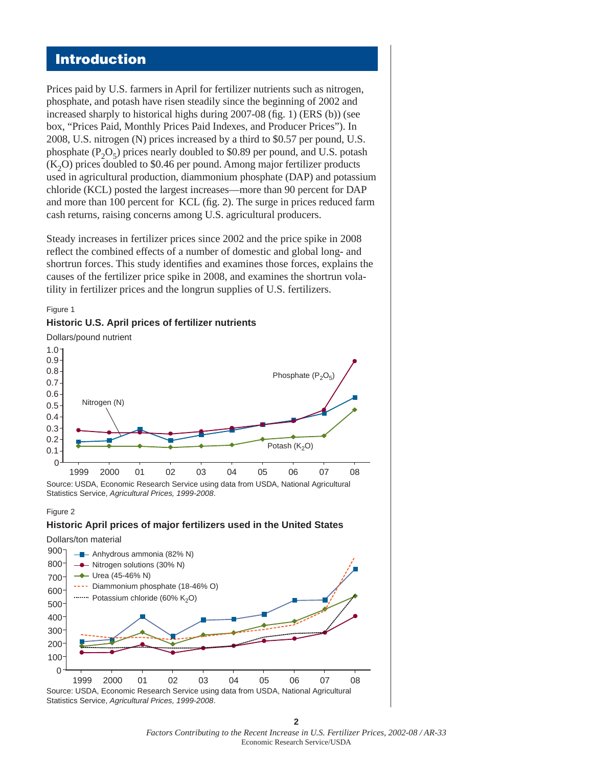### **Introduction**

Prices paid by U.S. farmers in April for fertilizer nutrients such as nitrogen, phosphate, and potash have risen steadily since the beginning of 2002 and increased sharply to historical highs during  $2007-08$  (fig. 1) (ERS (b)) (see box, "Prices Paid, Monthly Prices Paid Indexes, and Producer Prices"). In 2008, U.S. nitrogen (N) prices increased by a third to \$0.57 per pound, U.S. phosphate  $(P_2O_5)$  prices nearly doubled to \$0.89 per pound, and U.S. potash  $(K<sub>2</sub>O)$  prices doubled to \$0.46 per pound. Among major fertilizer products used in agricultural production, diammonium phosphate (DAP) and potassium chloride (KCL) posted the largest increases—more than 90 percent for DAP and more than 100 percent for KCL (fig. 2). The surge in prices reduced farm cash returns, raising concerns among U.S. agricultural producers.

Steady increases in fertilizer prices since 2002 and the price spike in 2008 reflect the combined effects of a number of domestic and global long- and shortrun forces. This study identifies and examines those forces, explains the causes of the fertilizer price spike in 2008, and examines the shortrun volatility in fertilizer prices and the longrun supplies of U.S. fertilizers.



**Historic U.S. April prices of fertilizer nutrients**

Source: USDA, Economic Research Service using data from USDA, National Agricultural Statistics Service, *Agricultural Prices, 1999-2008*.

#### Figure 2

Figure 1

### **Historic April prices of major fertilizers used in the United States**





**2** *Factors Contributing to the Recent Increase in U.S. Fertilizer Prices, 2002-08 / AR-33*  Economic Research Service/USDA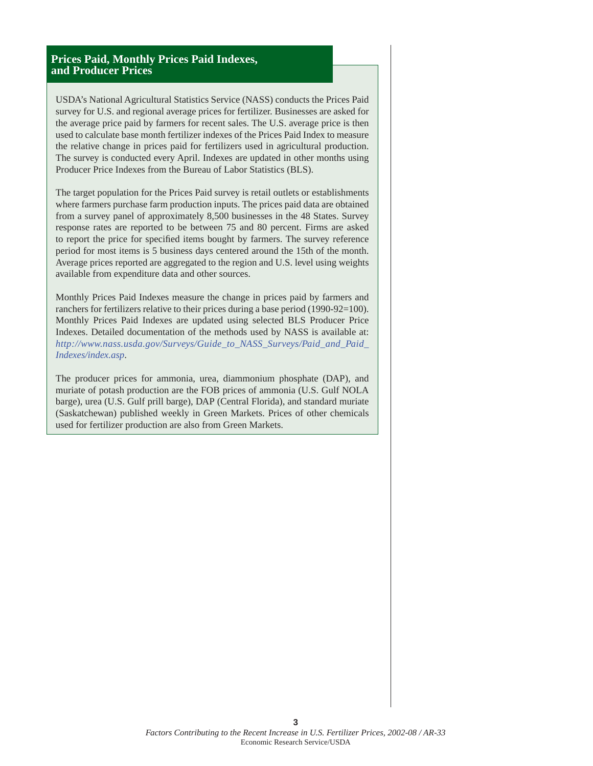### **Prices Paid, Monthly Prices Paid Indexes, and Producer Prices**

USDA's National Agricultural Statistics Service (NASS) conducts the Prices Paid survey for U.S. and regional average prices for fertilizer. Businesses are asked for the average price paid by farmers for recent sales. The U.S. average price is then used to calculate base month fertilizer indexes of the Prices Paid Index to measure the relative change in prices paid for fertilizers used in agricultural production. The survey is conducted every April. Indexes are updated in other months using Producer Price Indexes from the Bureau of Labor Statistics (BLS).

The target population for the Prices Paid survey is retail outlets or establishments where farmers purchase farm production inputs. The prices paid data are obtained from a survey panel of approximately 8,500 businesses in the 48 States. Survey response rates are reported to be between 75 and 80 percent. Firms are asked to report the price for specified items bought by farmers. The survey reference period for most items is 5 business days centered around the 15th of the month. Average prices reported are aggregated to the region and U.S. level using weights available from expenditure data and other sources.

Monthly Prices Paid Indexes measure the change in prices paid by farmers and ranchers for fertilizers relative to their prices during a base period (1990-92=100). Monthly Prices Paid Indexes are updated using selected BLS Producer Price Indexes. Detailed documentation of the methods used by NASS is available at: *[http://www.nass.usda.gov/Surveys/Guide\\_to\\_NASS\\_Surveys/Paid\\_and\\_Paid\\_](http://www.nass.usda.gov/Surveys/Guide_to_NASS_Surveys/Paid_and_Paid_Indexes/index.asp) Indexes/index.asp*.

The producer prices for ammonia, urea, diammonium phosphate (DAP), and muriate of potash production are the FOB prices of ammonia (U.S. Gulf NOLA barge), urea (U.S. Gulf prill barge), DAP (Central Florida), and standard muriate (Saskatchewan) published weekly in Green Markets. Prices of other chemicals used for fertilizer production are also from Green Markets.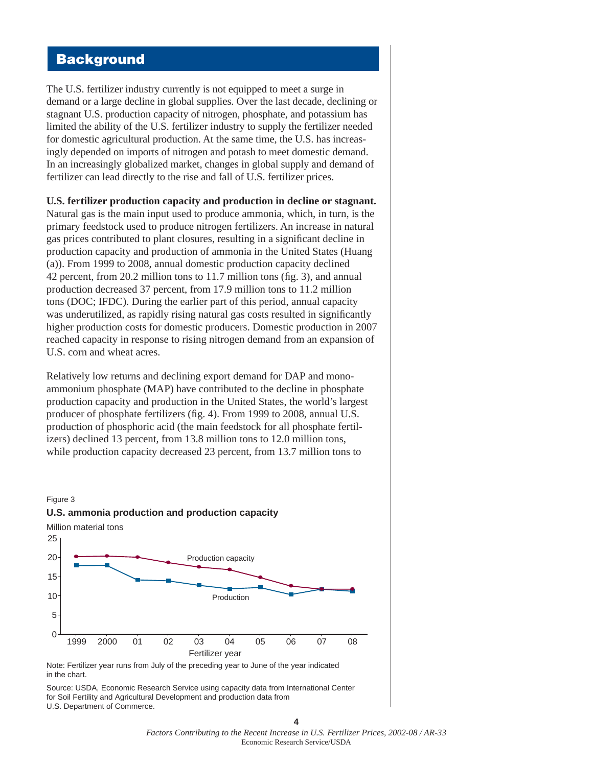# **Background**

The U.S. fertilizer industry currently is not equipped to meet a surge in demand or a large decline in global supplies. Over the last decade, declining or stagnant U.S. production capacity of nitrogen, phosphate, and potassium has limited the ability of the U.S. fertilizer industry to supply the fertilizer needed for domestic agricultural production. At the same time, the U.S. has increasingly depended on imports of nitrogen and potash to meet domestic demand. In an increasingly globalized market, changes in global supply and demand of fertilizer can lead directly to the rise and fall of U.S. fertilizer prices.

**U.S. fertilizer production capacity and production in decline or stagnant.**

Natural gas is the main input used to produce ammonia, which, in turn, is the primary feedstock used to produce nitrogen fertilizers. An increase in natural gas prices contributed to plant closures, resulting in a significant decline in production capacity and production of ammonia in the United States (Huang (a)). From 1999 to 2008, annual domestic production capacity declined 42 percent, from 20.2 million tons to  $11.7$  million tons (fig. 3), and annual production decreased 37 percent, from 17.9 million tons to 11.2 million tons (DOC; IFDC). During the earlier part of this period, annual capacity was underutilized, as rapidly rising natural gas costs resulted in significantly higher production costs for domestic producers. Domestic production in 2007 reached capacity in response to rising nitrogen demand from an expansion of U.S. corn and wheat acres.

Relatively low returns and declining export demand for DAP and monoammonium phosphate (MAP) have contributed to the decline in phosphate production capacity and production in the United States, the world's largest producer of phosphate fertilizers (fig. 4). From 1999 to 2008, annual U.S. production of phosphoric acid (the main feedstock for all phosphate fertilizers) declined 13 percent, from 13.8 million tons to 12.0 million tons, while production capacity decreased 23 percent, from 13.7 million tons to



Note: Fertilizer year runs from July of the preceding year to June of the year indicated in the chart.

Source: USDA, Economic Research Service using capacity data from International Center for Soil Fertility and Agricultural Development and production data from U.S. Department of Commerce.

> **4** *Factors Contributing to the Recent Increase in U.S. Fertilizer Prices, 2002-08 / AR-33*  Economic Research Service/USDA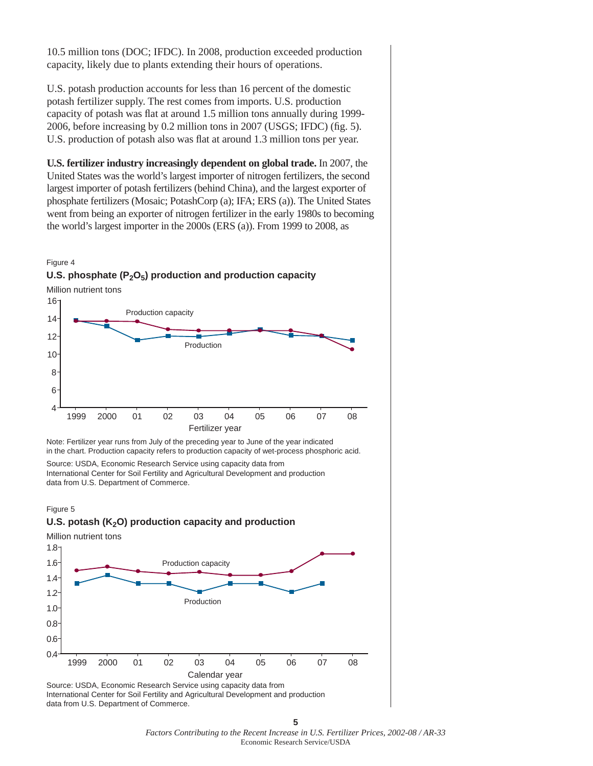10.5 million tons (DOC; IFDC). In 2008, production exceeded production capacity, likely due to plants extending their hours of operations.

U.S. potash production accounts for less than 16 percent of the domestic potash fertilizer supply. The rest comes from imports. U.S. production capacity of potash was flat at around 1.5 million tons annually during 1999-2006, before increasing by 0.2 million tons in 2007 (USGS; IFDC) (fig. 5). U.S. production of potash also was flat at around 1.3 million tons per year.

**U.S. fertilizer industry increasingly dependent on global trade.** In 2007, the United States was the world's largest importer of nitrogen fertilizers, the second largest importer of potash fertilizers (behind China), and the largest exporter of phosphate fertilizers (Mosaic; PotashCorp (a); IFA; ERS (a)). The United States went from being an exporter of nitrogen fertilizer in the early 1980s to becoming the world's largest importer in the 2000s (ERS (a)). From 1999 to 2008, as



Note: Fertilizer year runs from July of the preceding year to June of the year indicated Fertilizer year

in the chart. Production capacity refers to production capacity of wet-process phosphoric acid.

Source: USDA, Economic Research Service using capacity data from International Center for Soil Fertility and Agricultural Development and production data from U.S. Department of Commerce.



Million nutrient tons

Figure 5



Source: USDA, Economic Research Service using capacity data from International Center for Soil Fertility and Agricultural Development and production data from U.S. Department of Commerce.

*Factors Contributing to the Recent Increase in U.S. Fertilizer Prices, 2002-08 / AR-33*  Economic Research Service/USDA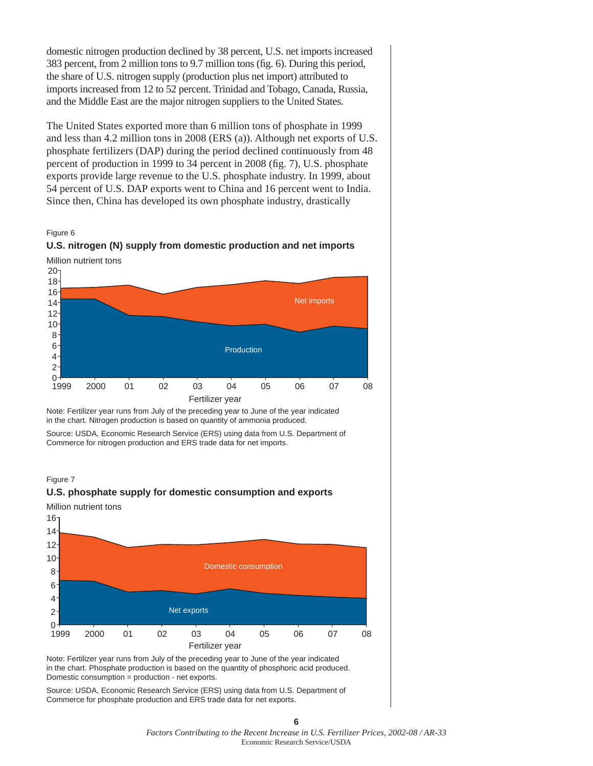domestic nitrogen production declined by 38 percent, U.S. net imports increased 383 percent, from 2 million tons to 9.7 million tons (fig. 6). During this period, the share of U.S. nitrogen supply (production plus net import) attributed to imports increased from 12 to 52 percent. Trinidad and Tobago, Canada, Russia, and the Middle East are the major nitrogen suppliers to the United States.

The United States exported more than 6 million tons of phosphate in 1999 and less than 4.2 million tons in 2008 (ERS (a)). Although net exports of U.S. phosphate fertilizers (DAP) during the period declined continuously from 48 percent of production in 1999 to 34 percent in 2008 (fig. 7), U.S. phosphate exports provide large revenue to the U.S. phosphate industry. In 1999, about 54 percent of U.S. DAP exports went to China and 16 percent went to India. Since then, China has developed its own phosphate industry, drastically







Note: Fertilizer year runs from July of the preceding year to June of the year indicated in the chart. Nitrogen production is based on quantity of ammonia produced.

Source: USDA, Economic Research Service (ERS) using data from U.S. Department of Commerce for nitrogen production and ERS trade data for net imports.

Figure 7

#### **U.S. phosphate supply for domestic consumption and exports**

Million nutrient tons



Note: Fertilizer year runs from July of the preceding year to June of the year indicated in the chart. Phosphate production is based on the quantity of phosphoric acid produced. Domestic consumption = production - net exports.

Source: USDA, Economic Research Service (ERS) using data from U.S. Department of Commerce for phosphate production and ERS trade data for net exports.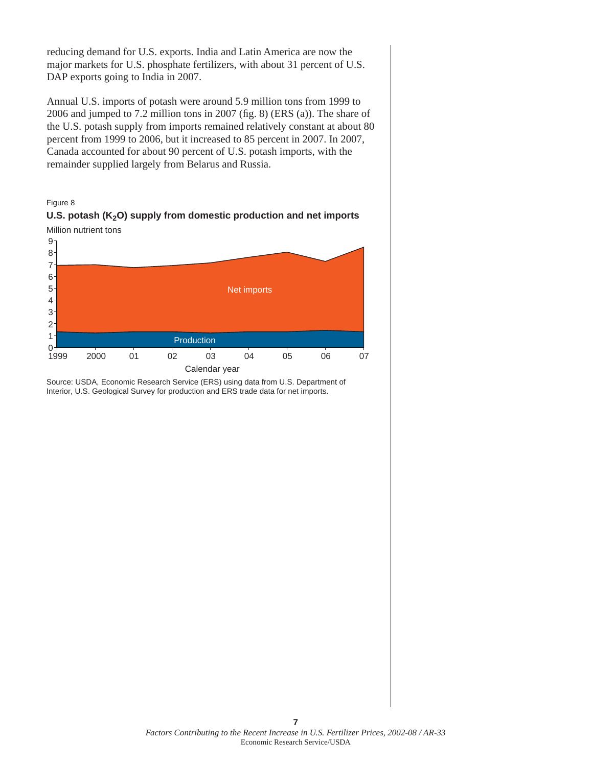reducing demand for U.S. exports. India and Latin America are now the major markets for U.S. phosphate fertilizers, with about 31 percent of U.S. DAP exports going to India in 2007.

Annual U.S. imports of potash were around 5.9 million tons from 1999 to 2006 and jumped to 7.2 million tons in 2007 (fig. 8) (ERS (a)). The share of the U.S. potash supply from imports remained relatively constant at about 80 percent from 1999 to 2006, but it increased to 85 percent in 2007. In 2007, Canada accounted for about 90 percent of U.S. potash imports, with the remainder supplied largely from Belarus and Russia.





**7**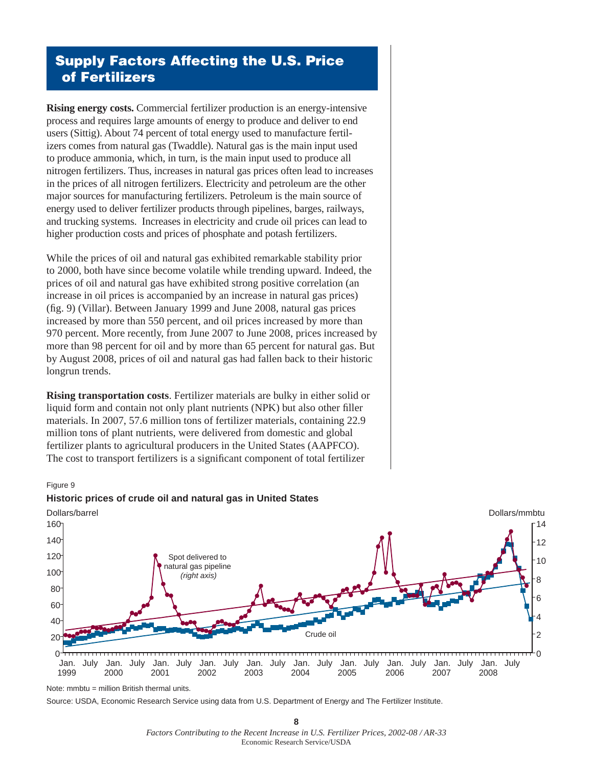# **Supply Factors Affecting the U.S. Price of Fertilizers**

**Rising energy costs.** Commercial fertilizer production is an energy-intensive process and requires large amounts of energy to produce and deliver to end users (Sittig). About 74 percent of total energy used to manufacture fertilizers comes from natural gas (Twaddle). Natural gas is the main input used to produce ammonia, which, in turn, is the main input used to produce all nitrogen fertilizers. Thus, increases in natural gas prices often lead to increases in the prices of all nitrogen fertilizers. Electricity and petroleum are the other major sources for manufacturing fertilizers. Petroleum is the main source of energy used to deliver fertilizer products through pipelines, barges, railways, and trucking systems. Increases in electricity and crude oil prices can lead to higher production costs and prices of phosphate and potash fertilizers.

While the prices of oil and natural gas exhibited remarkable stability prior to 2000, both have since become volatile while trending upward. Indeed, the prices of oil and natural gas have exhibited strong positive correlation (an increase in oil prices is accompanied by an increase in natural gas prices) (fig. 9) (Villar). Between January 1999 and June 2008, natural gas prices increased by more than 550 percent, and oil prices increased by more than 970 percent. More recently, from June 2007 to June 2008, prices increased by more than 98 percent for oil and by more than 65 percent for natural gas. But by August 2008, prices of oil and natural gas had fallen back to their historic longrun trends.

**Rising transportation costs**. Fertilizer materials are bulky in either solid or liquid form and contain not only plant nutrients (NPK) but also other filler materials. In 2007, 57.6 million tons of fertilizer materials, containing 22.9 million tons of plant nutrients, were delivered from domestic and global fertilizer plants to agricultural producers in the United States (AAPFCO). The cost to transport fertilizers is a significant component of total fertilizer

#### Figure 9



Note: mmbtu = million British thermal units.

Source: USDA, Economic Research Service using data from U.S. Department of Energy and The Fertilizer Institute.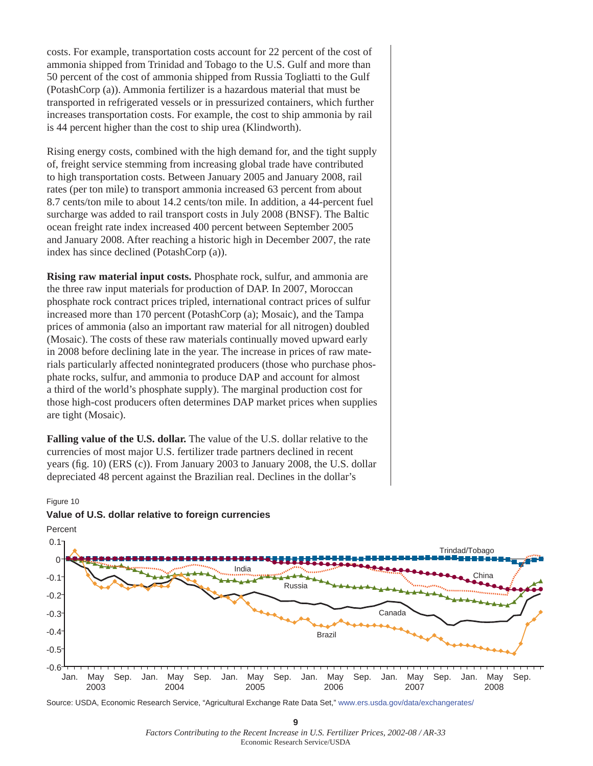costs. For example, transportation costs account for 22 percent of the cost of ammonia shipped from Trinidad and Tobago to the U.S. Gulf and more than 50 percent of the cost of ammonia shipped from Russia Togliatti to the Gulf (PotashCorp (a)). Ammonia fertilizer is a hazardous material that must be transported in refrigerated vessels or in pressurized containers, which further increases transportation costs. For example, the cost to ship ammonia by rail is 44 percent higher than the cost to ship urea (Klindworth).

Rising energy costs, combined with the high demand for, and the tight supply of, freight service stemming from increasing global trade have contributed to high transportation costs. Between January 2005 and January 2008, rail rates (per ton mile) to transport ammonia increased 63 percent from about 8.7 cents/ton mile to about 14.2 cents/ton mile. In addition, a 44-percent fuel surcharge was added to rail transport costs in July 2008 (BNSF). The Baltic ocean freight rate index increased 400 percent between September 2005 and January 2008. After reaching a historic high in December 2007, the rate index has since declined (PotashCorp (a)).

**Rising raw material input costs.** Phosphate rock, sulfur, and ammonia are the three raw input materials for production of DAP. In 2007, Moroccan phosphate rock contract prices tripled, international contract prices of sulfur increased more than 170 percent (PotashCorp (a); Mosaic), and the Tampa prices of ammonia (also an important raw material for all nitrogen) doubled (Mosaic). The costs of these raw materials continually moved upward early in 2008 before declining late in the year. The increase in prices of raw materials particularly affected nonintegrated producers (those who purchase phosphate rocks, sulfur, and ammonia to produce DAP and account for almost a third of the world's phosphate supply). The marginal production cost for those high-cost producers often determines DAP market prices when supplies are tight (Mosaic).

**Falling value of the U.S. dollar.** The value of the U.S. dollar relative to the currencies of most major U.S. fertilizer trade partners declined in recent years (fig. 10) (ERS  $(c)$ ). From January 2003 to January 2008, the U.S. dollar depreciated 48 percent against the Brazilian real. Declines in the dollar's



#### Figure 10

**Value of U.S. dollar relative to foreign currencies**

Source: USDA, Economic Research Service, "Agricultural Exchange Rate Data Set,"<www.ers.usda.gov/data/exchangerates/>

**9** *Factors Contributing to the Recent Increase in U.S. Fertilizer Prices, 2002-08 / AR-33*  Economic Research Service/USDA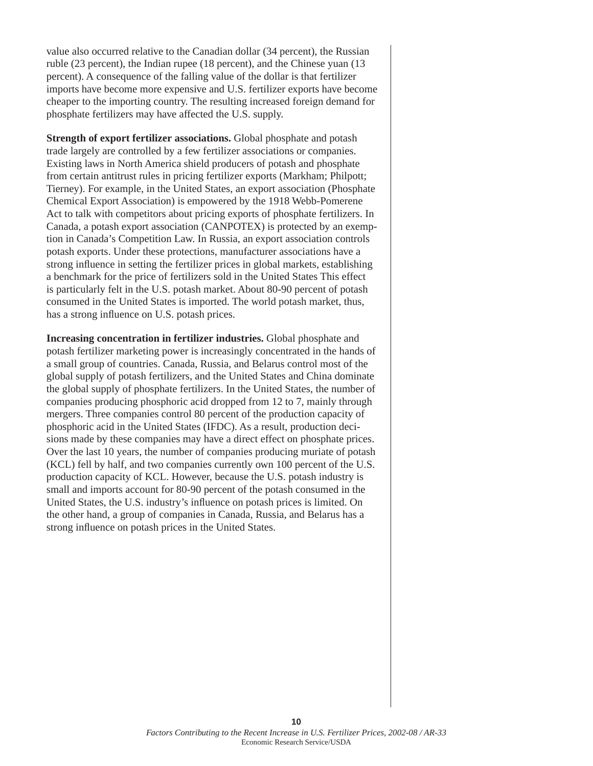value also occurred relative to the Canadian dollar (34 percent), the Russian ruble (23 percent), the Indian rupee (18 percent), and the Chinese yuan (13 percent). A consequence of the falling value of the dollar is that fertilizer imports have become more expensive and U.S. fertilizer exports have become cheaper to the importing country. The resulting increased foreign demand for phosphate fertilizers may have affected the U.S. supply.

**Strength of export fertilizer associations.** Global phosphate and potash trade largely are controlled by a few fertilizer associations or companies. Existing laws in North America shield producers of potash and phosphate from certain antitrust rules in pricing fertilizer exports (Markham; Philpott; Tierney). For example, in the United States, an export association (Phosphate Chemical Export Association) is empowered by the 1918 Webb-Pomerene Act to talk with competitors about pricing exports of phosphate fertilizers. In Canada, a potash export association (CANPOTEX) is protected by an exemption in Canada's Competition Law. In Russia, an export association controls potash exports. Under these protections, manufacturer associations have a strong influence in setting the fertilizer prices in global markets, establishing a benchmark for the price of fertilizers sold in the United States This effect is particularly felt in the U.S. potash market. About 80-90 percent of potash consumed in the United States is imported. The world potash market, thus, has a strong influence on U.S. potash prices.

**Increasing concentration in fertilizer industries.** Global phosphate and potash fertilizer marketing power is increasingly concentrated in the hands of a small group of countries. Canada, Russia, and Belarus control most of the global supply of potash fertilizers, and the United States and China dominate the global supply of phosphate fertilizers. In the United States, the number of companies producing phosphoric acid dropped from 12 to 7, mainly through mergers. Three companies control 80 percent of the production capacity of phosphoric acid in the United States (IFDC). As a result, production decisions made by these companies may have a direct effect on phosphate prices. Over the last 10 years, the number of companies producing muriate of potash (KCL) fell by half, and two companies currently own 100 percent of the U.S. production capacity of KCL. However, because the U.S. potash industry is small and imports account for 80-90 percent of the potash consumed in the United States, the U.S. industry's influence on potash prices is limited. On the other hand, a group of companies in Canada, Russia, and Belarus has a strong influence on potash prices in the United States.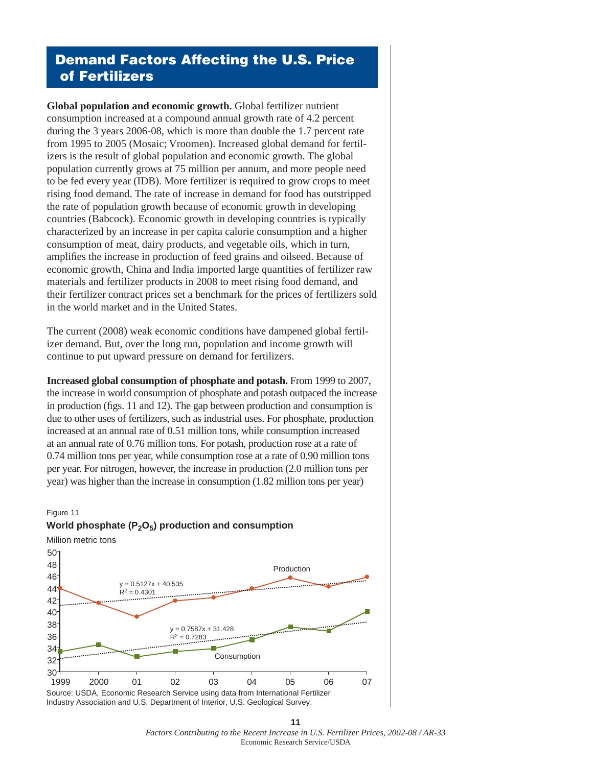# **Demand Factors Affecting the U.S. Price of Fertilizers**

**Global population and economic growth.** Global fertilizer nutrient consumption increased at a compound annual growth rate of 4.2 percent during the 3 years 2006-08, which is more than double the 1.7 percent rate from 1995 to 2005 (Mosaic; Vroomen). Increased global demand for fertilizers is the result of global population and economic growth. The global population currently grows at 75 million per annum, and more people need to be fed every year (IDB). More fertilizer is required to grow crops to meet rising food demand. The rate of increase in demand for food has outstripped the rate of population growth because of economic growth in developing countries (Babcock). Economic growth in developing countries is typically characterized by an increase in per capita calorie consumption and a higher consumption of meat, dairy products, and vegetable oils, which in turn, amplifies the increase in production of feed grains and oilseed. Because of economic growth, China and India imported large quantities of fertilizer raw materials and fertilizer products in 2008 to meet rising food demand, and their fertilizer contract prices set a benchmark for the prices of fertilizers sold in the world market and in the United States.

The current (2008) weak economic conditions have dampened global fertilizer demand. But, over the long run, population and income growth will continue to put upward pressure on demand for fertilizers.

**Increased global consumption of phosphate and potash.** From 1999 to 2007, the increase in world consumption of phosphate and potash outpaced the increase in production (figs. 11 and 12). The gap between production and consumption is due to other uses of fertilizers, such as industrial uses. For phosphate, production increased at an annual rate of 0.51 million tons, while consumption increased at an annual rate of 0.76 million tons. For potash, production rose at a rate of 0.74 million tons per year, while consumption rose at a rate of 0.90 million tons per year. For nitrogen, however, the increase in production (2.0 million tons per year) was higher than the increase in consumption (1.82 million tons per year)





**11** *Factors Contributing to the Recent Increase in U.S. Fertilizer Prices, 2002-08 / AR-33*  Economic Research Service/USDA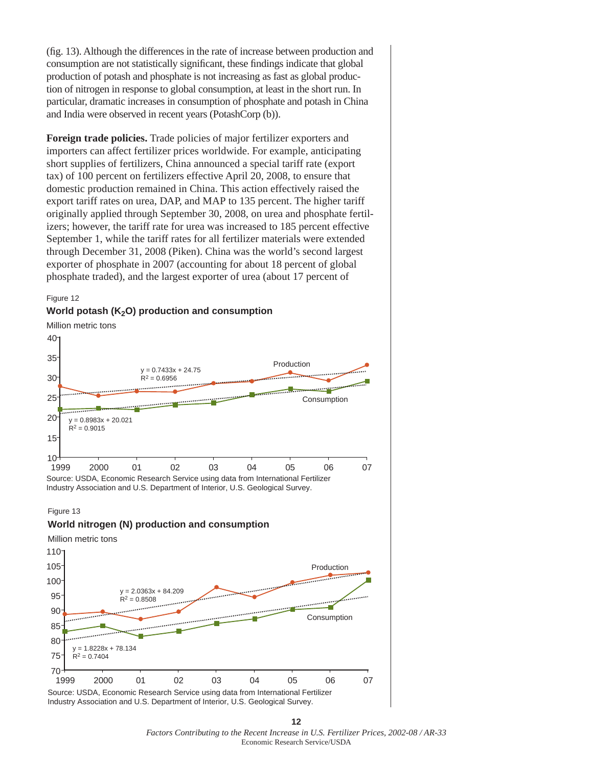(fig. 13). Although the differences in the rate of increase between production and consumption are not statistically significant, these findings indicate that global production of potash and phosphate is not increasing as fast as global production of nitrogen in response to global consumption, at least in the short run. In particular, dramatic increases in consumption of phosphate and potash in China and India were observed in recent years (PotashCorp (b)).

**Foreign trade policies.** Trade policies of major fertilizer exporters and importers can affect fertilizer prices worldwide. For example, anticipating short supplies of fertilizers, China announced a special tariff rate (export tax) of 100 percent on fertilizers effective April 20, 2008, to ensure that domestic production remained in China. This action effectively raised the export tariff rates on urea, DAP, and MAP to 135 percent. The higher tariff originally applied through September 30, 2008, on urea and phosphate fertilizers; however, the tariff rate for urea was increased to 185 percent effective September 1, while the tariff rates for all fertilizer materials were extended through December 31, 2008 (Piken). China was the world's second largest exporter of phosphate in 2007 (accounting for about 18 percent of global phosphate traded), and the largest exporter of urea (about 17 percent of



#### Figure 13



Industry Association and U.S. Department of Interior, U.S. Geological Survey.

**12** *Factors Contributing to the Recent Increase in U.S. Fertilizer Prices, 2002-08 / AR-33*  Economic Research Service/USDA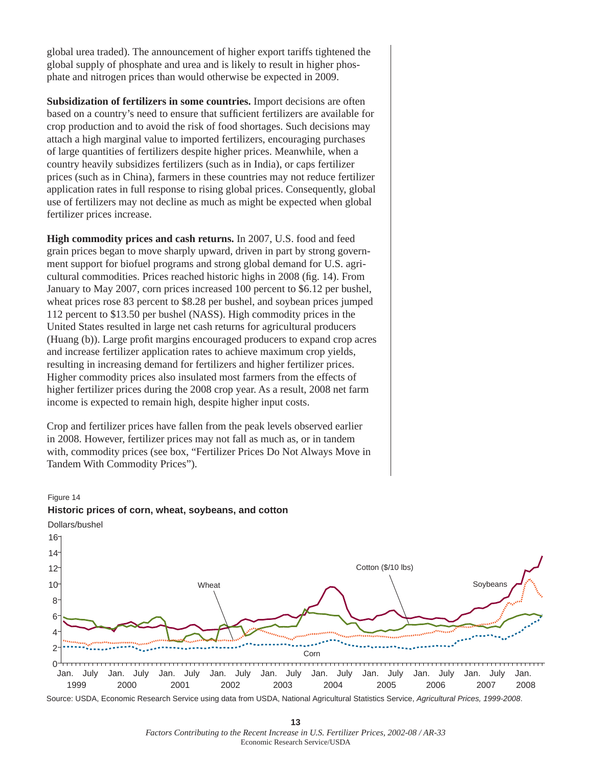global urea traded). The announcement of higher export tariffs tightened the global supply of phosphate and urea and is likely to result in higher phosphate and nitrogen prices than would otherwise be expected in 2009.

**Subsidization of fertilizers in some countries.** Import decisions are often based on a country's need to ensure that sufficient fertilizers are available for crop production and to avoid the risk of food shortages. Such decisions may attach a high marginal value to imported fertilizers, encouraging purchases of large quantities of fertilizers despite higher prices. Meanwhile, when a country heavily subsidizes fertilizers (such as in India), or caps fertilizer prices (such as in China), farmers in these countries may not reduce fertilizer application rates in full response to rising global prices. Consequently, global use of fertilizers may not decline as much as might be expected when global fertilizer prices increase.

**High commodity prices and cash returns.** In 2007, U.S. food and feed grain prices began to move sharply upward, driven in part by strong government support for biofuel programs and strong global demand for U.S. agricultural commodities. Prices reached historic highs in 2008 (fig. 14). From January to May 2007, corn prices increased 100 percent to \$6.12 per bushel, wheat prices rose 83 percent to \$8.28 per bushel, and soybean prices jumped 112 percent to \$13.50 per bushel (NASS). High commodity prices in the United States resulted in large net cash returns for agricultural producers (Huang (b)). Large profit margins encouraged producers to expand crop acres and increase fertilizer application rates to achieve maximum crop yields, resulting in increasing demand for fertilizers and higher fertilizer prices. Higher commodity prices also insulated most farmers from the effects of higher fertilizer prices during the 2008 crop year. As a result, 2008 net farm income is expected to remain high, despite higher input costs.

Crop and fertilizer prices have fallen from the peak levels observed earlier in 2008. However, fertilizer prices may not fall as much as, or in tandem with, commodity prices (see box, "Fertilizer Prices Do Not Always Move in Tandem With Commodity Prices").



### Figure 14 **Historic prices of corn, wheat, soybeans, and cotton**

**13** *Factors Contributing to the Recent Increase in U.S. Fertilizer Prices, 2002-08 / AR-33*  Economic Research Service/USDA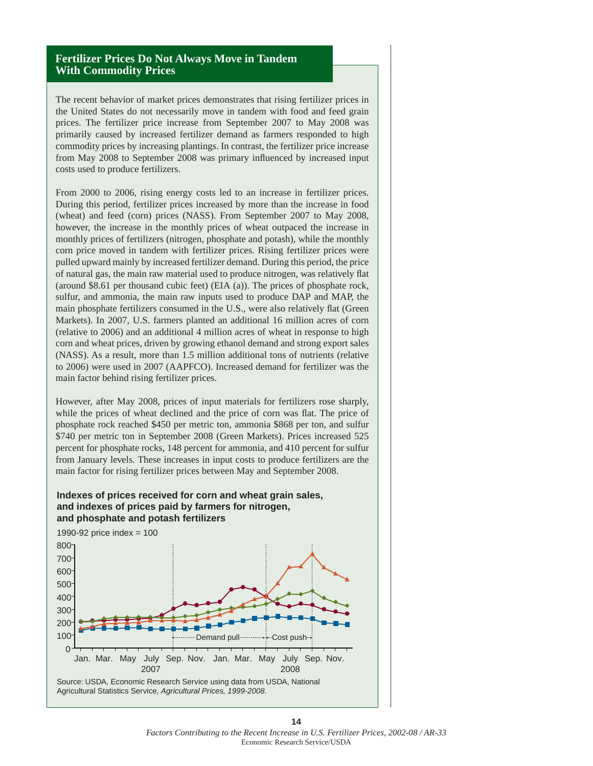### **Fertilizer Prices Do Not Always Move in Tandem With Commodity Prices**

The recent behavior of market prices demonstrates that rising fertilizer prices in the United States do not necessarily move in tandem with food and feed grain prices. The fertilizer price increase from September 2007 to May 2008 was primarily caused by increased fertilizer demand as farmers responded to high commodity prices by increasing plantings. In contrast, the fertilizer price increase from May 2008 to September 2008 was primary influenced by increased input costs used to produce fertilizers.

From 2000 to 2006, rising energy costs led to an increase in fertilizer prices. During this period, fertilizer prices increased by more than the increase in food (wheat) and feed (corn) prices (NASS). From September 2007 to May 2008, however, the increase in the monthly prices of wheat outpaced the increase in monthly prices of fertilizers (nitrogen, phosphate and potash), while the monthly corn price moved in tandem with fertilizer prices. Rising fertilizer prices were pulled upward mainly by increased fertilizer demand. During this period, the price of natural gas, the main raw material used to produce nitrogen, was relatively flat (around \$8.61 per thousand cubic feet) (EIA (a)). The prices of phosphate rock, sulfur, and ammonia, the main raw inputs used to produce DAP and MAP, the main phosphate fertilizers consumed in the U.S., were also relatively flat (Green Markets). In 2007, U.S. farmers planted an additional 16 million acres of corn (relative to 2006) and an additional 4 million acres of wheat in response to high corn and wheat prices, driven by growing ethanol demand and strong export sales (NASS). As a result, more than 1.5 million additional tons of nutrients (relative to 2006) were used in 2007 (AAPFCO). Increased demand for fertilizer was the main factor behind rising fertilizer prices.

However, after May 2008, prices of input materials for fertilizers rose sharply, while the prices of wheat declined and the price of corn was flat. The price of phosphate rock reached \$450 per metric ton, ammonia \$868 per ton, and sulfur \$740 per metric ton in September 2008 (Green Markets). Prices increased 525 percent for phosphate rocks, 148 percent for ammonia, and 410 percent for sulfur from January levels. These increases in input costs to produce fertilizers are the main factor for rising fertilizer prices between May and September 2008.

### **Indexes of prices received for corn and wheat grain sales, and indexes of prices paid by farmers for nitrogen, and phosphate and potash fertilizers**



**14** *Factors Contributing to the Recent Increase in U.S. Fertilizer Prices, 2002-08 / AR-33*  Economic Research Service/USDA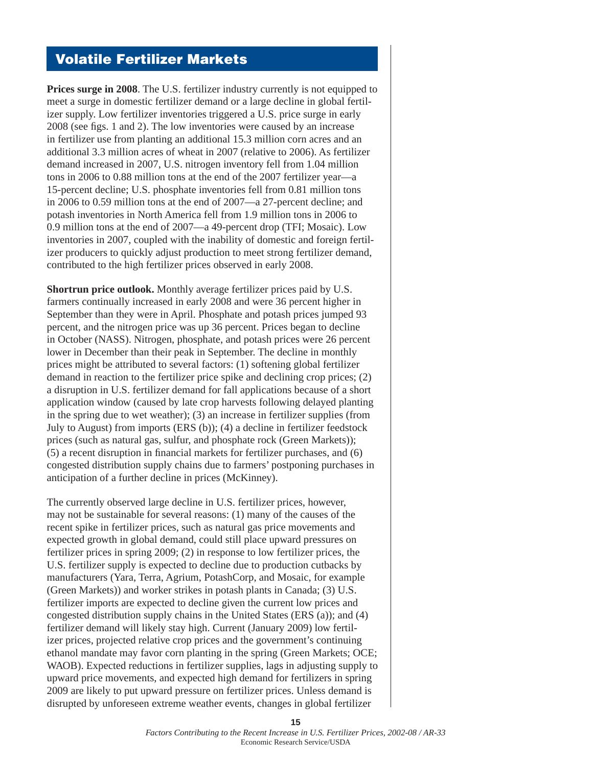### **Volatile Fertilizer Markets**

**Prices surge in 2008.** The U.S. fertilizer industry currently is not equipped to meet a surge in domestic fertilizer demand or a large decline in global fertilizer supply. Low fertilizer inventories triggered a U.S. price surge in early 2008 (see figs. 1 and 2). The low inventories were caused by an increase in fertilizer use from planting an additional 15.3 million corn acres and an additional 3.3 million acres of wheat in 2007 (relative to 2006). As fertilizer demand increased in 2007, U.S. nitrogen inventory fell from 1.04 million tons in 2006 to 0.88 million tons at the end of the 2007 fertilizer year—a 15-percent decline; U.S. phosphate inventories fell from 0.81 million tons in 2006 to 0.59 million tons at the end of 2007—a 27-percent decline; and potash inventories in North America fell from 1.9 million tons in 2006 to 0.9 million tons at the end of 2007—a 49-percent drop (TFI; Mosaic). Low inventories in 2007, coupled with the inability of domestic and foreign fertilizer producers to quickly adjust production to meet strong fertilizer demand, contributed to the high fertilizer prices observed in early 2008.

**Shortrun price outlook.** Monthly average fertilizer prices paid by U.S. farmers continually increased in early 2008 and were 36 percent higher in September than they were in April. Phosphate and potash prices jumped 93 percent, and the nitrogen price was up 36 percent. Prices began to decline in October (NASS). Nitrogen, phosphate, and potash prices were 26 percent lower in December than their peak in September. The decline in monthly prices might be attributed to several factors: (1) softening global fertilizer demand in reaction to the fertilizer price spike and declining crop prices; (2) a disruption in U.S. fertilizer demand for fall applications because of a short application window (caused by late crop harvests following delayed planting in the spring due to wet weather); (3) an increase in fertilizer supplies (from July to August) from imports (ERS (b)); (4) a decline in fertilizer feedstock prices (such as natural gas, sulfur, and phosphate rock (Green Markets));  $(5)$  a recent disruption in financial markets for fertilizer purchases, and  $(6)$ congested distribution supply chains due to farmers' postponing purchases in anticipation of a further decline in prices (McKinney).

The currently observed large decline in U.S. fertilizer prices, however, may not be sustainable for several reasons: (1) many of the causes of the recent spike in fertilizer prices, such as natural gas price movements and expected growth in global demand, could still place upward pressures on fertilizer prices in spring 2009; (2) in response to low fertilizer prices, the U.S. fertilizer supply is expected to decline due to production cutbacks by manufacturers (Yara, Terra, Agrium, PotashCorp, and Mosaic, for example (Green Markets)) and worker strikes in potash plants in Canada; (3) U.S. fertilizer imports are expected to decline given the current low prices and congested distribution supply chains in the United States (ERS (a)); and (4) fertilizer demand will likely stay high. Current (January 2009) low fertilizer prices, projected relative crop prices and the government's continuing ethanol mandate may favor corn planting in the spring (Green Markets; OCE; WAOB). Expected reductions in fertilizer supplies, lags in adjusting supply to upward price movements, and expected high demand for fertilizers in spring 2009 are likely to put upward pressure on fertilizer prices. Unless demand is disrupted by unforeseen extreme weather events, changes in global fertilizer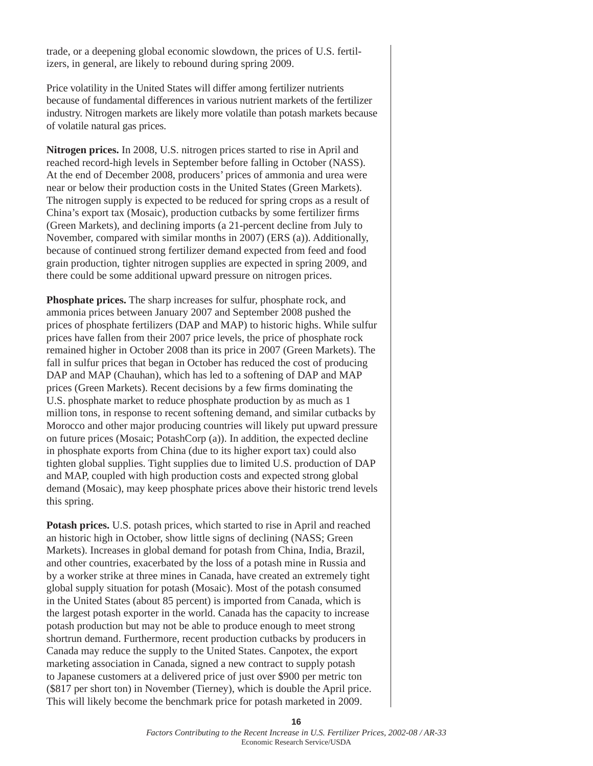trade, or a deepening global economic slowdown, the prices of U.S. fertilizers, in general, are likely to rebound during spring 2009.

Price volatility in the United States will differ among fertilizer nutrients because of fundamental differences in various nutrient markets of the fertilizer industry. Nitrogen markets are likely more volatile than potash markets because of volatile natural gas prices.

**Nitrogen prices.** In 2008, U.S. nitrogen prices started to rise in April and reached record-high levels in September before falling in October (NASS). At the end of December 2008, producers' prices of ammonia and urea were near or below their production costs in the United States (Green Markets). The nitrogen supply is expected to be reduced for spring crops as a result of China's export tax (Mosaic), production cutbacks by some fertilizer firms (Green Markets), and declining imports (a 21-percent decline from July to November, compared with similar months in 2007) (ERS (a)). Additionally, because of continued strong fertilizer demand expected from feed and food grain production, tighter nitrogen supplies are expected in spring 2009, and there could be some additional upward pressure on nitrogen prices.

**Phosphate prices.** The sharp increases for sulfur, phosphate rock, and ammonia prices between January 2007 and September 2008 pushed the prices of phosphate fertilizers (DAP and MAP) to historic highs. While sulfur prices have fallen from their 2007 price levels, the price of phosphate rock remained higher in October 2008 than its price in 2007 (Green Markets). The fall in sulfur prices that began in October has reduced the cost of producing DAP and MAP (Chauhan), which has led to a softening of DAP and MAP prices (Green Markets). Recent decisions by a few firms dominating the U.S. phosphate market to reduce phosphate production by as much as 1 million tons, in response to recent softening demand, and similar cutbacks by Morocco and other major producing countries will likely put upward pressure on future prices (Mosaic; PotashCorp (a)). In addition, the expected decline in phosphate exports from China (due to its higher export tax) could also tighten global supplies. Tight supplies due to limited U.S. production of DAP and MAP, coupled with high production costs and expected strong global demand (Mosaic), may keep phosphate prices above their historic trend levels this spring.

**Potash prices.** U.S. potash prices, which started to rise in April and reached an historic high in October, show little signs of declining (NASS; Green Markets). Increases in global demand for potash from China, India, Brazil, and other countries, exacerbated by the loss of a potash mine in Russia and by a worker strike at three mines in Canada, have created an extremely tight global supply situation for potash (Mosaic). Most of the potash consumed in the United States (about 85 percent) is imported from Canada, which is the largest potash exporter in the world. Canada has the capacity to increase potash production but may not be able to produce enough to meet strong shortrun demand. Furthermore, recent production cutbacks by producers in Canada may reduce the supply to the United States. Canpotex, the export marketing association in Canada, signed a new contract to supply potash to Japanese customers at a delivered price of just over \$900 per metric ton (\$817 per short ton) in November (Tierney), which is double the April price. This will likely become the benchmark price for potash marketed in 2009.

> *Factors Contributing to the Recent Increase in U.S. Fertilizer Prices, 2002-08 / AR-33*  Economic Research Service/USDA

**16**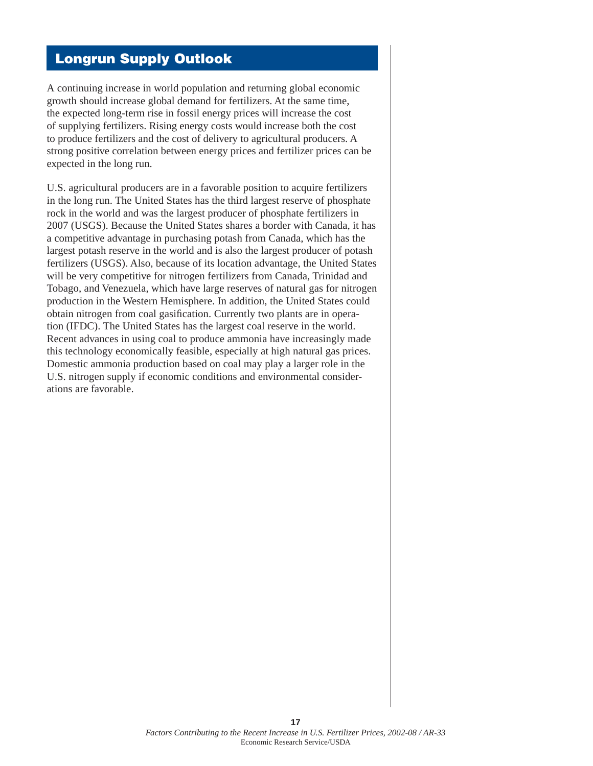# **Longrun Supply Outlook**

A continuing increase in world population and returning global economic growth should increase global demand for fertilizers. At the same time, the expected long-term rise in fossil energy prices will increase the cost of supplying fertilizers. Rising energy costs would increase both the cost to produce fertilizers and the cost of delivery to agricultural producers. A strong positive correlation between energy prices and fertilizer prices can be expected in the long run.

U.S. agricultural producers are in a favorable position to acquire fertilizers in the long run. The United States has the third largest reserve of phosphate rock in the world and was the largest producer of phosphate fertilizers in 2007 (USGS). Because the United States shares a border with Canada, it has a competitive advantage in purchasing potash from Canada, which has the largest potash reserve in the world and is also the largest producer of potash fertilizers (USGS). Also, because of its location advantage, the United States will be very competitive for nitrogen fertilizers from Canada, Trinidad and Tobago, and Venezuela, which have large reserves of natural gas for nitrogen production in the Western Hemisphere. In addition, the United States could obtain nitrogen from coal gasification. Currently two plants are in operation (IFDC). The United States has the largest coal reserve in the world. Recent advances in using coal to produce ammonia have increasingly made this technology economically feasible, especially at high natural gas prices. Domestic ammonia production based on coal may play a larger role in the U.S. nitrogen supply if economic conditions and environmental considerations are favorable.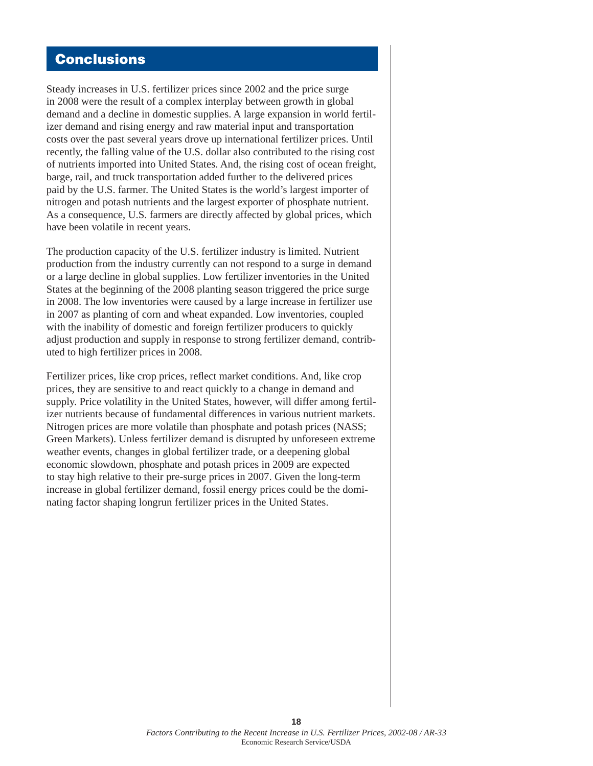# **Conclusions**

Steady increases in U.S. fertilizer prices since 2002 and the price surge in 2008 were the result of a complex interplay between growth in global demand and a decline in domestic supplies. A large expansion in world fertilizer demand and rising energy and raw material input and transportation costs over the past several years drove up international fertilizer prices. Until recently, the falling value of the U.S. dollar also contributed to the rising cost of nutrients imported into United States. And, the rising cost of ocean freight, barge, rail, and truck transportation added further to the delivered prices paid by the U.S. farmer. The United States is the world's largest importer of nitrogen and potash nutrients and the largest exporter of phosphate nutrient. As a consequence, U.S. farmers are directly affected by global prices, which have been volatile in recent years.

The production capacity of the U.S. fertilizer industry is limited. Nutrient production from the industry currently can not respond to a surge in demand or a large decline in global supplies. Low fertilizer inventories in the United States at the beginning of the 2008 planting season triggered the price surge in 2008. The low inventories were caused by a large increase in fertilizer use in 2007 as planting of corn and wheat expanded. Low inventories, coupled with the inability of domestic and foreign fertilizer producers to quickly adjust production and supply in response to strong fertilizer demand, contributed to high fertilizer prices in 2008.

Fertilizer prices, like crop prices, reflect market conditions. And, like crop prices, they are sensitive to and react quickly to a change in demand and supply. Price volatility in the United States, however, will differ among fertilizer nutrients because of fundamental differences in various nutrient markets. Nitrogen prices are more volatile than phosphate and potash prices (NASS; Green Markets). Unless fertilizer demand is disrupted by unforeseen extreme weather events, changes in global fertilizer trade, or a deepening global economic slowdown, phosphate and potash prices in 2009 are expected to stay high relative to their pre-surge prices in 2007. Given the long-term increase in global fertilizer demand, fossil energy prices could be the dominating factor shaping longrun fertilizer prices in the United States.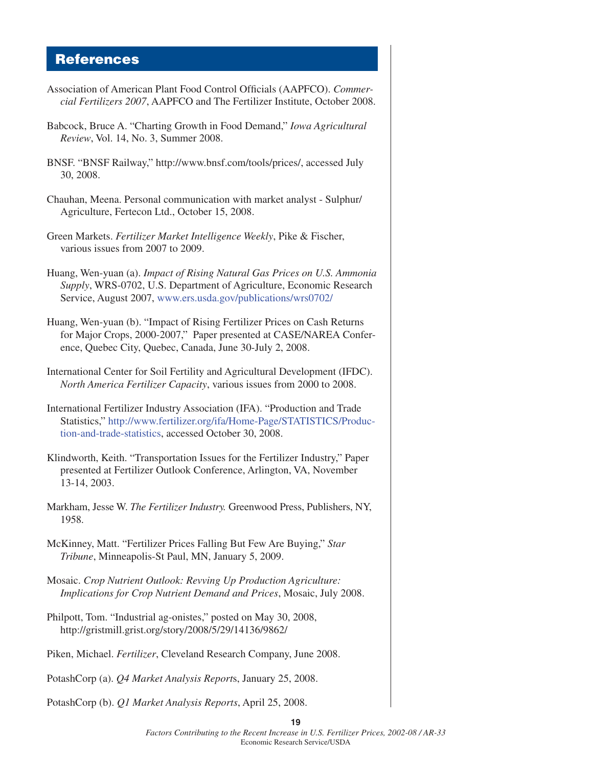### **References**

- Association of American Plant Food Control Officials (AAPFCO). *Commercial Fertilizers 2007*, AAPFCO and The Fertilizer Institute, October 2008. Babcock, Bruce A. "Charting Growth in Food Demand," *Iowa Agricultural Review*, Vol. 14, No. 3, Summer 2008. BNSF. "BNSF Railway," http://www.bnsf.com/tools/prices/, accessed July 30, 2008. Chauhan, Meena. Personal communication with market analyst - Sulphur/ Agriculture, Fertecon Ltd., October 15, 2008. Green Markets. *Fertilizer Market Intelligence Weekly*, Pike & Fischer, various issues from 2007 to 2009. Huang, Wen-yuan (a). *Impact of Rising Natural Gas Prices on U.S. Ammonia Supply*, WRS-0702, U.S. Department of Agriculture, Economic Research Service, August 2007[, www.ers.usda.gov/publications/wrs0702/](www.ers.usda.gov/publications/wrs0702/) Huang, Wen-yuan (b). "Impact of Rising Fertilizer Prices on Cash Returns for Major Crops, 2000-2007," Paper presented at CASE/NAREA Conference, Quebec City, Quebec, Canada, June 30-July 2, 2008. International Center for Soil Fertility and Agricultural Development (IFDC). *North America Fertilizer Capacity*, various issues from 2000 to 2008. International Fertilizer Industry Association (IFA). "Production and Trade [Statistics," http://www.fertilizer.org/ifa/Home-Page/STATISTICS/Produc](http://www.fertilizer.org/ifa/Home-Page/STATISTICS/Production-and-trade-statistics)tion-and-trade-statistics, accessed October 30, 2008. Klindworth, Keith. "Transportation Issues for the Fertilizer Industry," Paper presented at Fertilizer Outlook Conference, Arlington, VA, November 13-14, 2003. Markham, Jesse W. *The Fertilizer Industry.* Greenwood Press, Publishers, NY, 1958. McKinney, Matt. "Fertilizer Prices Falling But Few Are Buying," *Star Tribune*, Minneapolis-St Paul, MN, January 5, 2009. Mosaic. *Crop Nutrient Outlook: Revving Up Production Agriculture: Implications for Crop Nutrient Demand and Prices*, Mosaic, July 2008. Philpott, Tom. "Industrial ag-onistes," posted on May 30, 2008, http://gristmill.grist.org/story/2008/5/29/14136/9862/ Piken, Michael. *Fertilizer*, Cleveland Research Company, June 2008. PotashCorp (a). *Q4 Market Analysis Report*s, January 25, 2008.
- PotashCorp (b). *Q1 Market Analysis Reports*, April 25, 2008.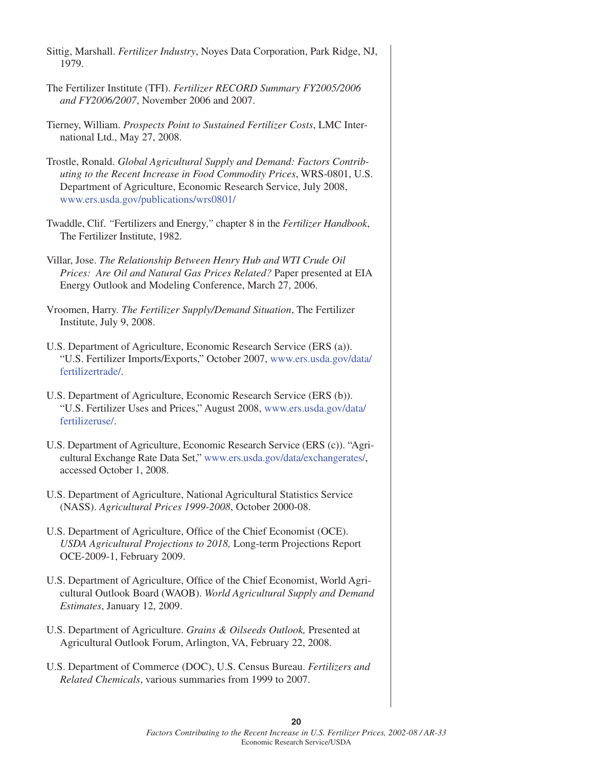| Sittig, Marshall. Fertilizer Industry, Noyes Data Corporation, Park Ridge, NJ,<br>1979.                                                                                                                                                                         |
|-----------------------------------------------------------------------------------------------------------------------------------------------------------------------------------------------------------------------------------------------------------------|
| The Fertilizer Institute (TFI). Fertilizer RECORD Summary FY2005/2006<br>and FY2006/2007, November 2006 and 2007.                                                                                                                                               |
| Tierney, William. Prospects Point to Sustained Fertilizer Costs, LMC Inter-<br>national Ltd., May 27, 2008.                                                                                                                                                     |
| Trostle, Ronald. Global Agricultural Supply and Demand: Factors Contrib-<br>uting to the Recent Increase in Food Commodity Prices, WRS-0801, U.S.<br>Department of Agriculture, Economic Research Service, July 2008,<br>www.ers.usda.gov/publications/wrs0801/ |
| Twaddle, Clif. "Fertilizers and Energy," chapter 8 in the Fertilizer Handbook,<br>The Fertilizer Institute, 1982.                                                                                                                                               |
| Villar, Jose. The Relationship Between Henry Hub and WTI Crude Oil<br>Prices: Are Oil and Natural Gas Prices Related? Paper presented at EIA<br>Energy Outlook and Modeling Conference, March 27, 2006.                                                         |
| Vroomen, Harry. The Fertilizer Supply/Demand Situation, The Fertilizer<br>Institute, July 9, 2008.                                                                                                                                                              |
| U.S. Department of Agriculture, Economic Research Service (ERS (a)).<br>"U.S. Fertilizer Imports/Exports," October 2007, www.ers.usda.gov/data/<br>fertilizertrade/.                                                                                            |
| U.S. Department of Agriculture, Economic Research Service (ERS (b)).<br>"U.S. Fertilizer Uses and Prices," August 2008, www.ers.usda.gov/data/<br>fertilizeruse/.                                                                                               |
| U.S. Department of Agriculture, Economic Research Service (ERS (c)). "Agri-<br>cultural Exchange Rate Data Set," www.ers.usda.gov/data/exchangerates/,<br>accessed October 1, 2008.                                                                             |
| U.S. Department of Agriculture, National Agricultural Statistics Service<br>(NASS). Agricultural Prices 1999-2008, October 2000-08.                                                                                                                             |
| U.S. Department of Agriculture, Office of the Chief Economist (OCE).<br>USDA Agricultural Projections to 2018, Long-term Projections Report<br>OCE-2009-1, February 2009.                                                                                       |
| U.S. Department of Agriculture, Office of the Chief Economist, World Agri-<br>cultural Outlook Board (WAOB). World Agricultural Supply and Demand<br>Estimates, January 12, 2009.                                                                               |
| U.S. Department of Agriculture. Grains & Oilseeds Outlook, Presented at<br>Agricultural Outlook Forum, Arlington, VA, February 22, 2008.                                                                                                                        |
| U.S. Department of Commerce (DOC), U.S. Census Bureau. Fertilizers and<br>Related Chemicals, various summaries from 1999 to 2007.                                                                                                                               |